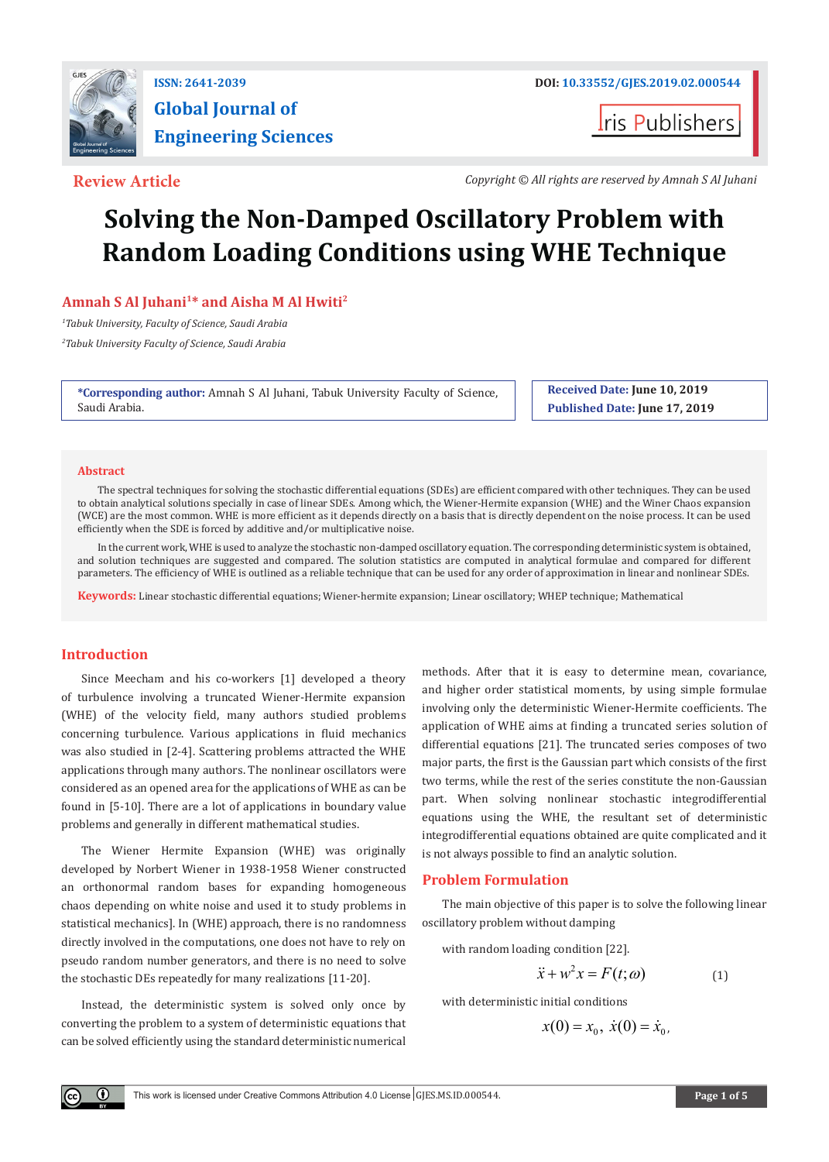

# **Global Journal of Engineering Sciences**

**Tris Publishers** 

**Review Article** *Copyright © All rights are reserved by Amnah S Al Juhani*

# **Solving the Non-Damped Oscillatory Problem with Random Loading Conditions using WHE Technique**

# **Amnah S Al Juhani1\* and Aisha M Al Hwiti2**

*1 Tabuk University, Faculty of Science, Saudi Arabia*

*2 Tabuk University Faculty of Science, Saudi Arabia*

**\*Corresponding author:** Amnah S Al Juhani, Tabuk University Faculty of Science, Saudi Arabia.

**Received Date: June 10, 2019 Published Date: June 17, 2019**

#### **Abstract**

The spectral techniques for solving the stochastic differential equations (SDEs) are efficient compared with other techniques. They can be used to obtain analytical solutions specially in case of linear SDEs. Among which, the Wiener-Hermite expansion (WHE) and the Winer Chaos expansion (WCE) are the most common. WHE is more efficient as it depends directly on a basis that is directly dependent on the noise process. It can be used efficiently when the SDE is forced by additive and/or multiplicative noise.

In the current work, WHE is used to analyze the stochastic non-damped oscillatory equation. The corresponding deterministic system is obtained, and solution techniques are suggested and compared. The solution statistics are computed in analytical formulae and compared for different parameters. The efficiency of WHE is outlined as a reliable technique that can be used for any order of approximation in linear and nonlinear SDEs.

**Keywords:** Linear stochastic differential equations; Wiener-hermite expansion; Linear oscillatory; WHEP technique; Mathematical

# **Introduction**

 $(\cdot)$ 

Since Meecham and his co-workers [1] developed a theory of turbulence involving a truncated Wiener-Hermite expansion (WHE) of the velocity field, many authors studied problems concerning turbulence. Various applications in fluid mechanics was also studied in [2-4]. Scattering problems attracted the WHE applications through many authors. The nonlinear oscillators were considered as an opened area for the applications of WHE as can be found in [5-10]. There are a lot of applications in boundary value problems and generally in different mathematical studies.

The Wiener Hermite Expansion (WHE) was originally developed by Norbert Wiener in 1938-1958 Wiener constructed an orthonormal random bases for expanding homogeneous chaos depending on white noise and used it to study problems in statistical mechanics]. In (WHE) approach, there is no randomness directly involved in the computations, one does not have to rely on pseudo random number generators, and there is no need to solve the stochastic DEs repeatedly for many realizations [11-20].

Instead, the deterministic system is solved only once by converting the problem to a system of deterministic equations that can be solved efficiently using the standard deterministic numerical

methods. After that it is easy to determine mean, covariance, and higher order statistical moments, by using simple formulae involving only the deterministic Wiener-Hermite coefficients. The application of WHE aims at finding a truncated series solution of differential equations [21]. The truncated series composes of two major parts, the first is the Gaussian part which consists of the first two terms, while the rest of the series constitute the non-Gaussian part. When solving nonlinear stochastic integrodifferential equations using the WHE, the resultant set of deterministic integrodifferential equations obtained are quite complicated and it is not always possible to find an analytic solution.

#### **Problem Formulation**

The main objective of this paper is to solve the following linear oscillatory problem without damping

with random loading condition [22].

$$
\ddot{x} + w^2 x = F(t; \omega) \tag{1}
$$

with deterministic initial conditions

$$
x(0) = x_0, \; \dot{x}(0) = \dot{x}_0,
$$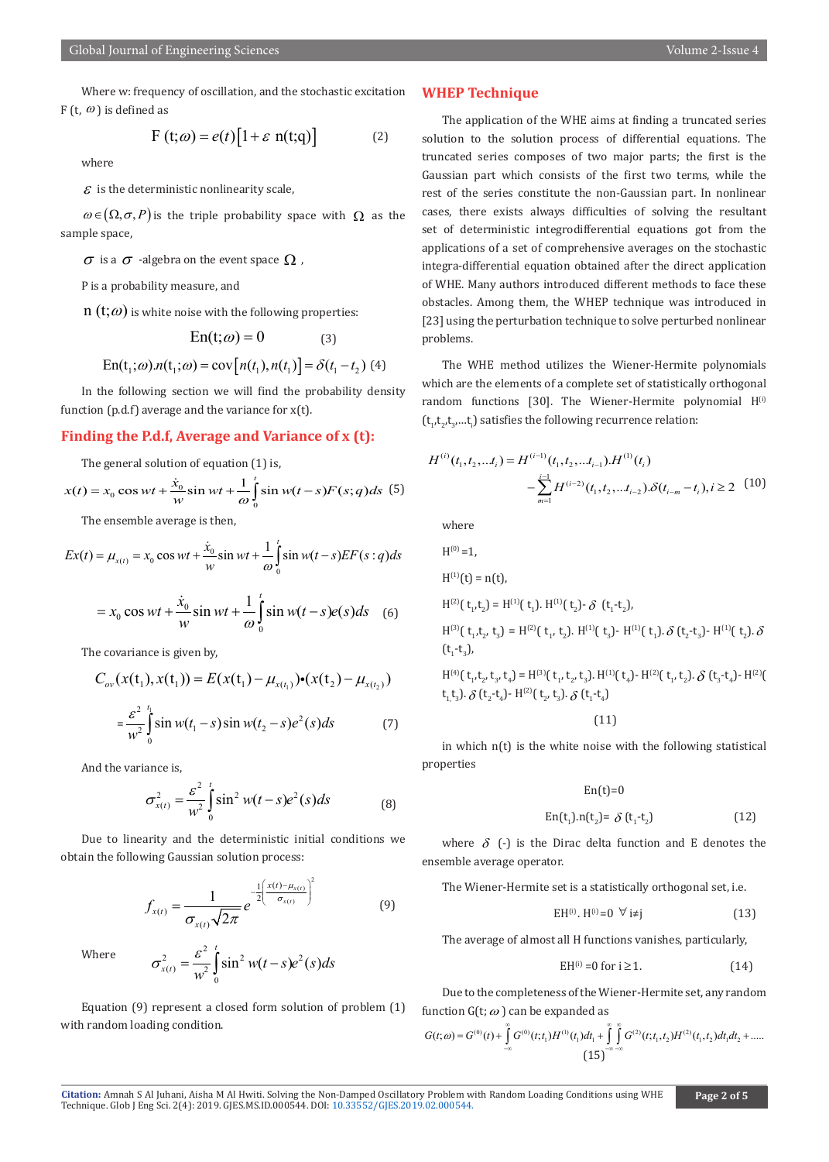Where w: frequency of oscillation, and the stochastic excitation F (t,  $\omega$ ) is defined as

$$
F(t; \omega) = e(t) \left[ 1 + \varepsilon \ n(t; q) \right] \tag{2}
$$

where

 $\mathcal E$  is the deterministic nonlinearity scale,

 $\omega \in (\Omega, \sigma, P)$  is the triple probability space with  $\Omega$  as the sample space,

 $\sigma$  is a  $\sigma$  -algebra on the event space  $\Omega$ ,

P is a probability measure, and

 $n(t; \omega)$  is white noise with the following properties:

$$
En(t; \omega) = 0 \tag{3}
$$

$$
En(t_1; \omega) . n(t_1; \omega) = cov[n(t_1), n(t_1)] = \delta(t_1 - t_2)
$$
 (4)

In the following section we will find the probability density function (p.d.f) average and the variance for  $x(t)$ .

### **Finding the P.d.f, Average and Variance of x (t):**

The general solution of equation (1) is,

$$
x(t) = x_0 \cos wt + \frac{\dot{x}_0}{w} \sin wt + \frac{1}{\omega} \int_0^t \sin w(t - s) F(s; q) ds
$$
 (5)

The ensemble average is then,

$$
Ex(t) = \mu_{x(t)} = x_0 \cos wt + \frac{\dot{x}_0}{w} \sin wt + \frac{1}{\omega} \int_0^t \sin w(t - s) EF(s : q) ds
$$

$$
= x_0 \cos wt + \frac{\dot{x}_0}{w} \sin wt + \frac{1}{\omega} \int_0^t \sin w(t - s)e(s)ds \quad (6)
$$

The covariance is given by,

$$
C_{ov}(x(t_1), x(t_1)) = E(x(t_1) - \mu_{x(t_1)}) \cdot (x(t_2) - \mu_{x(t_2)})
$$
  

$$
= \frac{\varepsilon^2}{w^2} \int_0^{t_1} \sin w(t_1 - s) \sin w(t_2 - s) e^2(s) ds
$$
 (7)

And the variance is,

$$
\sigma_{x(t)}^2 = \frac{\varepsilon^2}{w^2} \int_0^t \sin^2 w(t-s) e^2(s) ds
$$
 (8)

Due to linearity and the deterministic initial conditions we obtain the following Gaussian solution process:

$$
f_{x(t)} = \frac{1}{\sigma_{x(t)}\sqrt{2\pi}} e^{-\frac{1}{2}\left(\frac{x(t) - \mu_{x(t)}}{\sigma_{x(t)}}\right)^2}
$$
(9)

Where

$$
\sigma_{x(t)}^2 = \frac{\varepsilon^2}{w^2} \int_0^t \sin^2 w(t-s) e^2(s) ds
$$

Equation (9) represent a closed form solution of problem (1) with random loading condition.

# **WHEP Technique**

The application of the WHE aims at finding a truncated series solution to the solution process of differential equations. The truncated series composes of two major parts; the first is the Gaussian part which consists of the first two terms, while the rest of the series constitute the non-Gaussian part. In nonlinear cases, there exists always difficulties of solving the resultant set of deterministic integrodifferential equations got from the applications of a set of comprehensive averages on the stochastic integra-differential equation obtained after the direct application of WHE. Many authors introduced different methods to face these obstacles. Among them, the WHEP technique was introduced in [23] using the perturbation technique to solve perturbed nonlinear problems.

The WHE method utilizes the Wiener-Hermite polynomials which are the elements of a complete set of statistically orthogonal random functions [30]. The Wiener-Hermite polynomial  $H^{(i)}$  $(\mathfrak{t}_{1}^{\phantom{\dag}},\mathfrak{t}_{2}^{\phantom{\dag}},\mathfrak{t}_{3}^{\phantom{\dag}},\ldots$ t $_{\mathrm{i}}^{\phantom{\dag}}$ ) satisfies the following recurrence relation:

$$
H^{(i)}(t_1, t_2, \dots t_i) = H^{(i-1)}(t_1, t_2, \dots t_{i-1}).H^{(1)}(t_i)
$$

$$
-\sum_{m=1}^{i-1} H^{(i-2)}(t_1, t_2, \dots t_{i-2}).\delta(t_{i-m} - t_i), i \ge 2 \quad (10)
$$

where

$$
H^{(0)} = 1,
$$
  
\n
$$
H^{(1)}(t) = n(t),
$$
  
\n
$$
H^{(2)}(\tau_1, t_2) = H^{(1)}(\tau_1). H^{(1)}(\tau_2) \cdot \delta (\tau_1 - \tau_2),
$$
  
\n
$$
H^{(3)}(\tau_1, t_2, \tau_3) = H^{(2)}(\tau_1, \tau_2). H^{(1)}(\tau_3) \cdot H^{(1)}(\tau_1). \delta (\tau_2 - \tau_3) \cdot H^{(1)}(\tau_2). \delta
$$
  
\n
$$
H^{(4)}(\tau_1, t_2, \tau_3, \tau_4) = H^{(3)}(\tau_1, \tau_2, \tau_3). H^{(1)}(\tau_4) \cdot H^{(2)}(\tau_1, \tau_2). \delta (\tau_3 - \tau_4) \cdot H^{(2)}(\tau_1, \tau_3). \delta (\tau_2 - \tau_4). \qquad (11)
$$

in which n(t) is the white noise with the following statistical properties

$$
En(t)=0
$$

$$
En(t1).n(t2) = \delta(t1-t2)
$$
 (12)

where  $\delta$  (-) is the Dirac delta function and E denotes the ensemble average operator.

The Wiener-Hermite set is a statistically orthogonal set, i.e.

$$
EH^{(i)} \t H^{(i)} = 0 \quad \forall \ i \neq j \tag{13}
$$

The average of almost all H functions vanishes, particularly,

$$
EH^{(i)} = 0 \text{ for } i \ge 1. \tag{14}
$$

Due to the completeness of the Wiener-Hermite set, any random function  $G(t; \omega)$  can be expanded as

$$
G(t; \omega) = G^{(0)}(t) + \int_{-\infty}^{\infty} G^{(0)}(t; t_1) H^{(1)}(t_1) dt_1 + \int_{-\infty}^{\infty} \int_{-\infty}^{\infty} G^{(2)}(t; t_1, t_2) H^{(2)}(t_1, t_2) dt_1 dt_2 + \dots
$$
\n
$$
(15)^{-\infty-\infty} (15)^{-\infty-\infty}
$$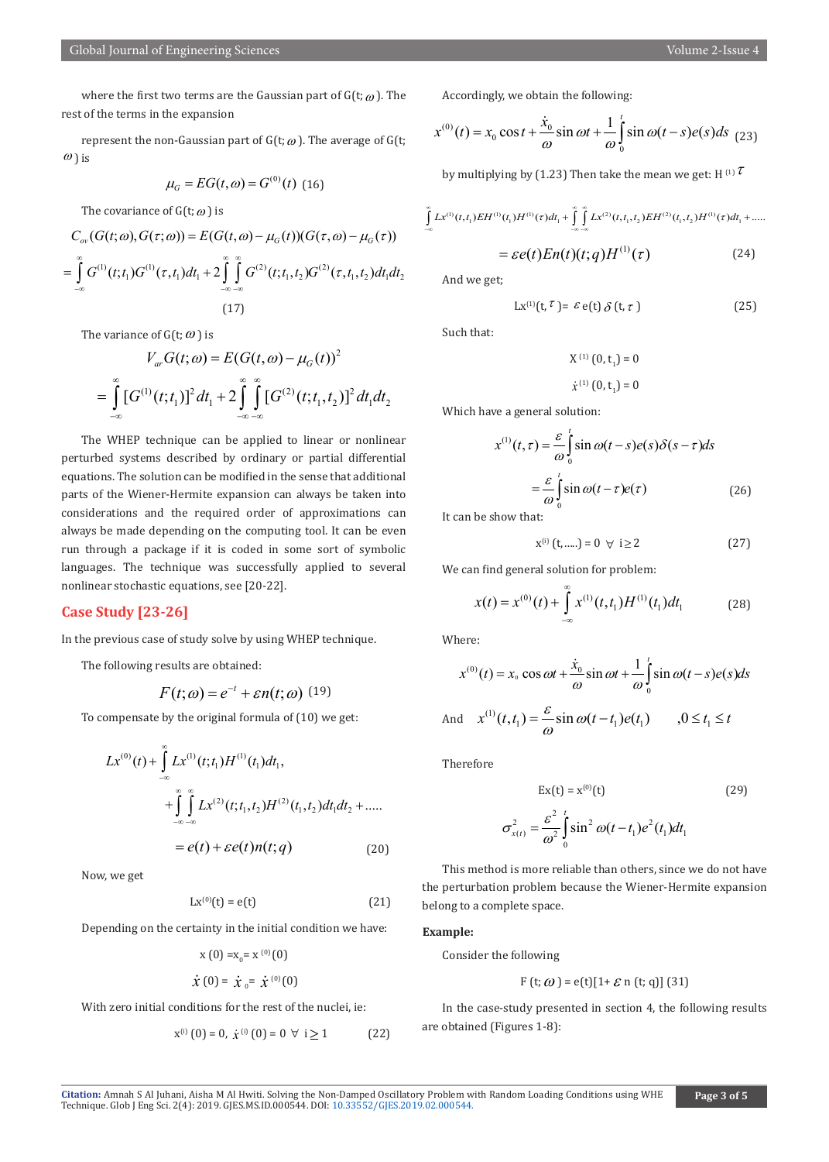where the first two terms are the Gaussian part of  $G(t; \omega)$ . The rest of the terms in the expansion

represent the non-Gaussian part of  $G(t; \omega)$ . The average of  $G(t; \omega)$  $\omega$ ) is

$$
\mu_G = EG(t, \omega) = G^{(0)}(t) \tag{16}
$$

The covariance of  $G(t; \omega)$  is

$$
C_{ov}(G(t; \omega), G(\tau; \omega)) = E(G(t, \omega) - \mu_G(t))(G(\tau, \omega) - \mu_G(\tau))
$$
  
= 
$$
\int_{-\infty}^{\infty} G^{(1)}(t; t_1) G^{(1)}(\tau, t_1) dt_1 + 2 \int_{-\infty}^{\infty} \int_{-\infty}^{\infty} G^{(2)}(t; t_1, t_2) G^{(2)}(\tau, t_1, t_2) dt_1 dt_2
$$
  
(17)

The variance of  $G(t; \omega)$  is

$$
V_{ar}G(t; \omega) = E(G(t, \omega) - \mu_G(t))^2
$$
  
= 
$$
\int_{-\infty}^{\infty} [G^{(1)}(t; t_1)]^2 dt_1 + 2 \int_{-\infty}^{\infty} \int_{-\infty}^{\infty} [G^{(2)}(t; t_1, t_2)]^2 dt_1 dt_2
$$

The WHEP technique can be applied to linear or nonlinear perturbed systems described by ordinary or partial differential equations. The solution can be modified in the sense that additional parts of the Wiener-Hermite expansion can always be taken into considerations and the required order of approximations can always be made depending on the computing tool. It can be even run through a package if it is coded in some sort of symbolic languages. The technique was successfully applied to several nonlinear stochastic equations, see [20-22].

# **Case Study [23-26]**

In the previous case of study solve by using WHEP technique.

The following results are obtained:

$$
F(t; \omega) = e^{-t} + \varepsilon n(t; \omega)
$$
 (19)

To compensate by the original formula of (10) we get:

$$
Lx^{(0)}(t) + \int_{-\infty}^{\infty} Lx^{(1)}(t; t_1)H^{(1)}(t_1)dt_1,
$$
  
+ 
$$
\int_{-\infty}^{\infty} \int_{-\infty}^{\infty} Lx^{(2)}(t; t_1, t_2)H^{(2)}(t_1, t_2)dt_1dt_2 + \dots
$$
  
= 
$$
e(t) + \varepsilon e(t)n(t; q)
$$
 (20)

Now, we get

$$
Lx^{(0)}(t) = e(t) \tag{21}
$$

Depending on the certainty in the initial condition we have:

$$
x(0) = x_0 = x^{(0)}(0)
$$

$$
\dot{\chi}(0) = \dot{\chi}_0 = \dot{\chi}^{(0)}(0)
$$

With zero initial conditions for the rest of the nuclei, ie:

$$
x^{(i)}(0) = 0, \ \dot{x}^{(i)}(0) = 0 \ \forall \ i \ge 1 \tag{22}
$$

Accordingly, we obtain the following:

$$
x^{(0)}(t) = x_0 \cos t + \frac{\dot{x}_0}{\omega} \sin \omega t + \frac{1}{\omega} \int_0^t \sin \omega (t - s) e(s) ds \tag{23}
$$

by multiplying by (1.23) Then take the mean we get: H<sup>(1)</sup> $\tau$ 

$$
\int_{-\infty}^{\infty} Lx^{(1)}(t,t_1)EH^{(1)}(t_1)H^{(1)}(\tau)dt_1 + \int_{-\infty}^{\infty} \int_{-\infty}^{\infty} Lx^{(2)}(t,t_1,t_2)EH^{(2)}(t_1,t_2)H^{(1)}(\tau)dt_1 + \dots
$$

$$
= \varepsilon e(t)En(t)(t;q)H^{(1)}(\tau) \tag{24}
$$

And we get;

$$
Lx^{(1)}(t, \tau) = \varepsilon e(t) \delta(t, \tau)
$$
 (25)

Such that:

 $X^{(1)}(0, t_1) = 0$  $\dot{x}^{(1)}(0, t_1) = 0$ 

Which have a general solution:

$$
x^{(1)}(t,\tau) = \frac{\varepsilon}{\omega} \int_{0}^{t} \sin \omega(t-s)e(s)\delta(s-\tau)ds
$$

$$
= \frac{\varepsilon}{\omega} \int_{0}^{t} \sin \omega(t-\tau)e(\tau) \qquad (26)
$$

It can be show that:

$$
x^{(i)}(t,....) = 0 \ \forall \ i \ge 2
$$
 (27)

We can find general solution for problem:

$$
x(t) = x^{(0)}(t) + \int_{-\infty}^{\infty} x^{(1)}(t, t_1) H^{(1)}(t_1) dt_1
$$
 (28)

Where:

$$
x^{(0)}(t) = x_0 \cos \omega t + \frac{\dot{x}_0}{\omega} \sin \omega t + \frac{1}{\omega} \int_0^t \sin \omega (t - s) e(s) ds
$$

And 
$$
x^{(1)}(t, t_1) = \frac{\varepsilon}{\omega} \sin \omega(t - t_1) e(t_1)
$$
  $, 0 \le t_1 \le t$ 

Therefore

$$
Ex(t) = x^{(0)}(t)
$$
 (29)

$$
\sigma_{x(t)}^2 = \frac{\varepsilon^2}{\omega^2} \int_0^t \sin^2 \omega (t - t_1) e^2 (t_1) dt_1
$$

This method is more reliable than others, since we do not have the perturbation problem because the Wiener-Hermite expansion belong to a complete space.

#### **Example:**

Consider the following

$$
F(t; \omega) = e(t)[1 + \mathcal{E} \text{ n (t; q)] (31)}
$$

In the case-study presented in section 4, the following results are obtained (Figures 1-8):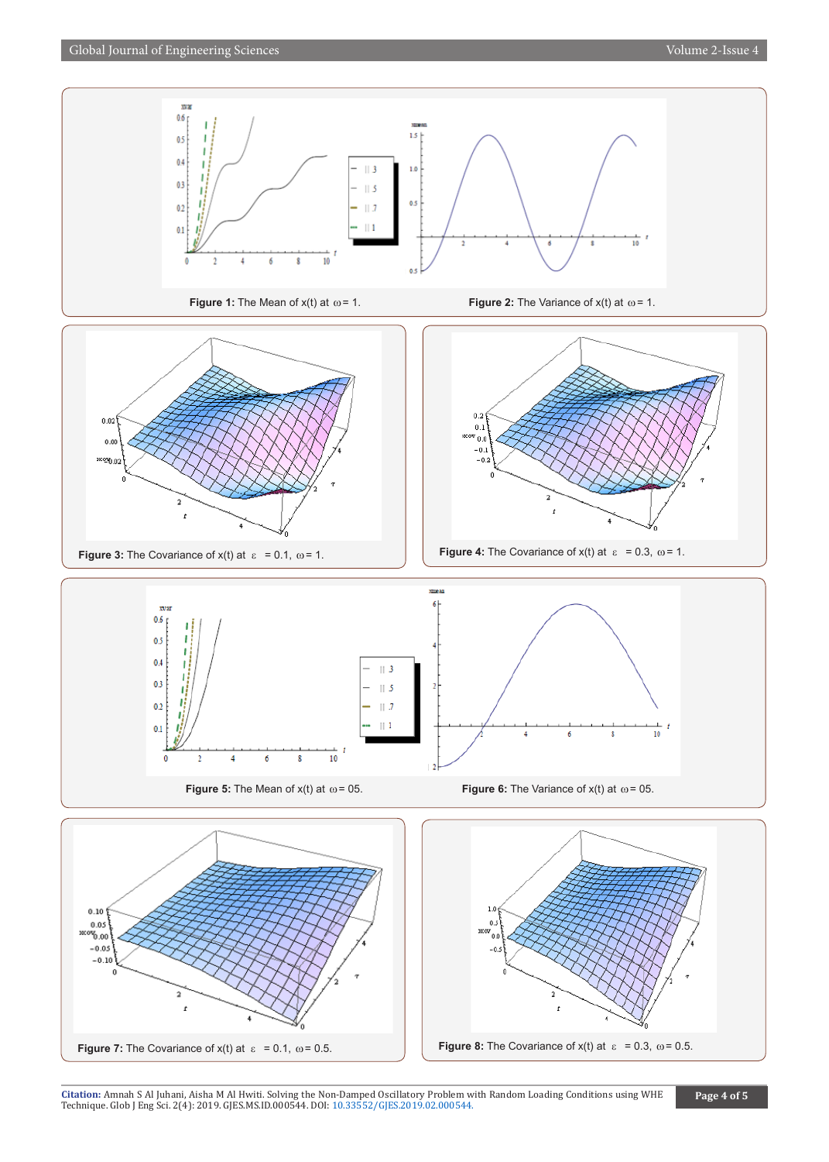

Citation: Amnah S Al Juhani, Aisha M Al Hwiti. Solving the No[n-Damped Oscillatory Problem w](http://dx.doi.org/10.33552/GJES.2019.02.000544)ith Random Loading Conditions using WHE<br>Technique. Glob J Eng Sci. 2(4): 2019. GJES.MS.ID.000544. DOI: 10.33552/GJES.2019.02.000544